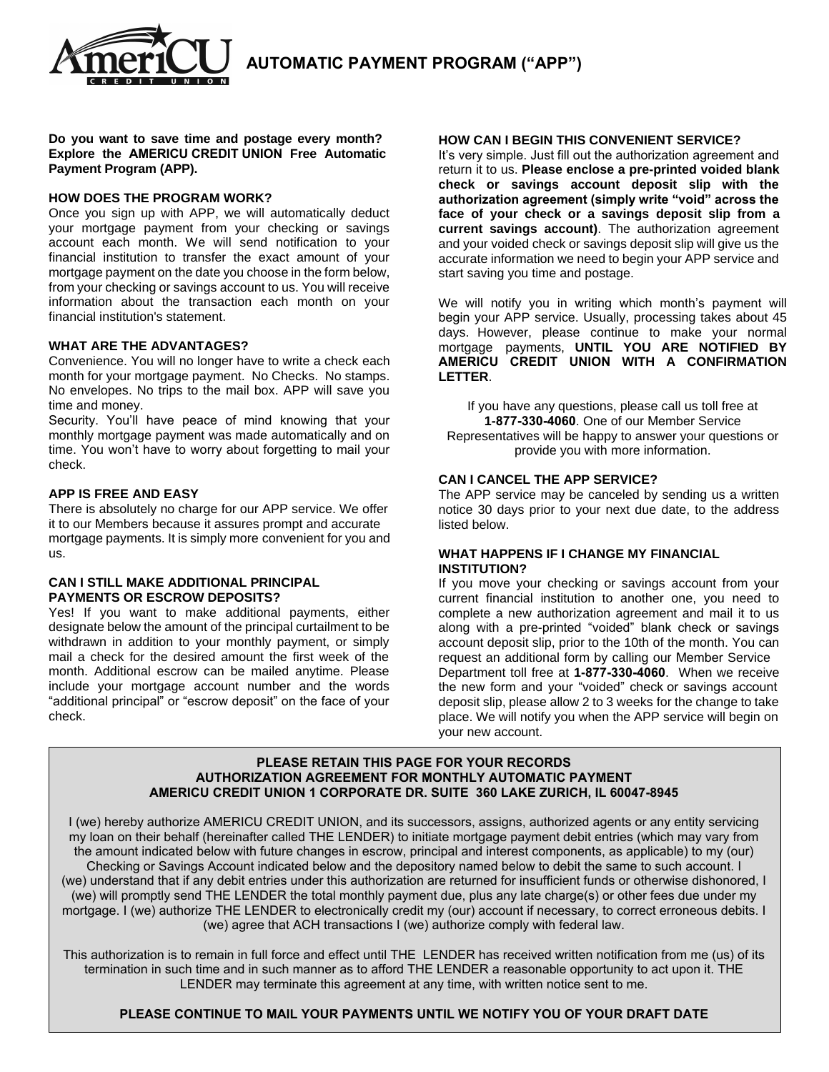**AUTOMATIC PAYMENT PROGRAM ("APP")**

**Do you want to save time and postage every month? Explore the AMERICU CREDIT UNION Free Automatic Payment Program (APP).** 

 $\overline{u}$   $\overline{u}$   $\overline{u}$   $\overline{u}$ 

#### **HOW DOES THE PROGRAM WORK?**

Once you sign up with APP, we will automatically deduct your mortgage payment from your checking or savings account each month. We will send notification to your financial institution to transfer the exact amount of your mortgage payment on the date you choose in the form below, from your checking or savings account to us. You will receive information about the transaction each month on your financial institution's statement.

#### **WHAT ARE THE ADVANTAGES?**

Convenience. You will no longer have to write a check each month for your mortgage payment. No Checks. No stamps. No envelopes. No trips to the mail box. APP will save you time and money.

Security. You'll have peace of mind knowing that your monthly mortgage payment was made automatically and on time. You won't have to worry about forgetting to mail your check.

#### **APP IS FREE AND EASY**

There is absolutely no charge for our APP service. We offer it to our Members because it assures prompt and accurate mortgage payments. It is simply more convenient for you and us.

### **CAN I STILL MAKE ADDITIONAL PRINCIPAL PAYMENTS OR ESCROW DEPOSITS?**

Yes! If you want to make additional payments, either designate below the amount of the principal curtailment to be withdrawn in addition to your monthly payment, or simply mail a check for the desired amount the first week of the month. Additional escrow can be mailed anytime. Please include your mortgage account number and the words "additional principal" or "escrow deposit" on the face of your check.

#### **HOW CAN I BEGIN THIS CONVENIENT SERVICE?**

It's very simple. Just fill out the authorization agreement and return it to us. **Please enclose a pre-printed voided blank check or savings account deposit slip with the authorization agreement (simply write "void" across the face of your check or a savings deposit slip from a current savings account)**. The authorization agreement and your voided check or savings deposit slip will give us the accurate information we need to begin your APP service and start saving you time and postage.

We will notify you in writing which month's payment will begin your APP service. Usually, processing takes about 45 days. However, please continue to make your normal mortgage payments, **UNTIL YOU ARE NOTIFIED BY AMERICU CREDIT UNION WITH A CONFIRMATION LETTER**.

If you have any questions, please call us toll free at **1-877-330-4060**. One of our Member Service Representatives will be happy to answer your questions or provide you with more information.

#### **CAN I CANCEL THE APP SERVICE?**

The APP service may be canceled by sending us a written notice 30 days prior to your next due date, to the address listed below.

#### **WHAT HAPPENS IF I CHANGE MY FINANCIAL INSTITUTION?**

If you move your checking or savings account from your current financial institution to another one, you need to complete a new authorization agreement and mail it to us along with a pre-printed "voided" blank check or savings account deposit slip, prior to the 10th of the month. You can request an additional form by calling our Member Service Department toll free at **1-877-330-4060**. When we receive the new form and your "voided" check or savings account deposit slip, please allow 2 to 3 weeks for the change to take place. We will notify you when the APP service will begin on your new account.

#### **PLEASE RETAIN THIS PAGE FOR YOUR RECORDS AUTHORIZATION AGREEMENT FOR MONTHLY AUTOMATIC PAYMENT AMERICU CREDIT UNION 1 CORPORATE DR. SUITE 360 LAKE ZURICH, IL 60047-8945**

I (we) hereby authorize AMERICU CREDIT UNION, and its successors, assigns, authorized agents or any entity servicing my loan on their behalf (hereinafter called THE LENDER) to initiate mortgage payment debit entries (which may vary from the amount indicated below with future changes in escrow, principal and interest components, as applicable) to my (our) Checking or Savings Account indicated below and the depository named below to debit the same to such account. I (we) understand that if any debit entries under this authorization are returned for insufficient funds or otherwise dishonored, I (we) will promptly send THE LENDER the total monthly payment due, plus any late charge(s) or other fees due under my mortgage. I (we) authorize THE LENDER to electronically credit my (our) account if necessary, to correct erroneous debits. I (we) agree that ACH transactions I (we) authorize comply with federal law.

This authorization is to remain in full force and effect until THE LENDER has received written notification from me (us) of its termination in such time and in such manner as to afford THE LENDER a reasonable opportunity to act upon it. THE LENDER may terminate this agreement at any time, with written notice sent to me.

#### **PLEASE CONTINUE TO MAIL YOUR PAYMENTS UNTIL WE NOTIFY YOU OF YOUR DRAFT DATE**